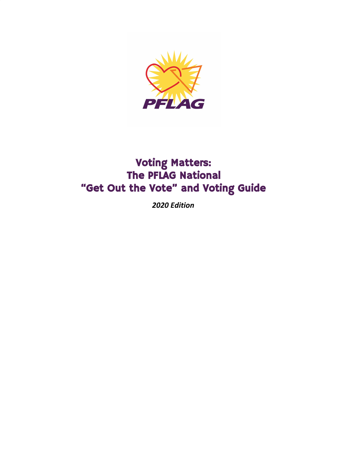

## Voting Matters: The PFLAG National "Get Out the Vote" and Voting Guide

*2020 Edition*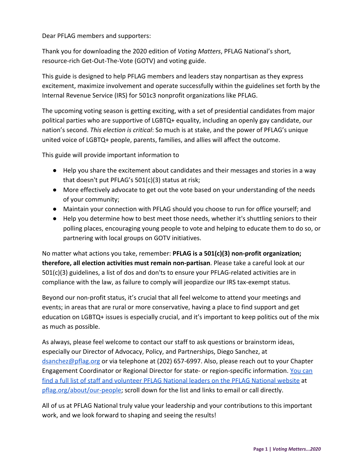Dear PFLAG members and supporters:

Thank you for downloading the 2020 edition of *Voting Matters*, PFLAG National's short, resource-rich Get-Out-The-Vote (GOTV) and voting guide.

This guide is designed to help PFLAG members and leaders stay nonpartisan as they express excitement, maximize involvement and operate successfully within the guidelines set forth by the Internal Revenue Service (IRS) for 501c3 nonprofit organizations like PFLAG.

The upcoming voting season is getting exciting, with a set of presidential candidates from major political parties who are supportive of LGBTQ+ equality, including an openly gay candidate, our nation's second. *This election is critical*: So much is at stake, and the power of PFLAG's unique united voice of LGBTQ+ people, parents, families, and allies will affect the outcome.

This guide will provide important information to

- Help you share the excitement about candidates and their messages and stories in a way that doesn't put PFLAG's 501(c)(3) status at risk;
- More effectively advocate to get out the vote based on your understanding of the needs of your community;
- Maintain your connection with PFLAG should you choose to run for office yourself; and
- Help you determine how to best meet those needs, whether it's shuttling seniors to their polling places, encouraging young people to vote and helping to educate them to do so, or partnering with local groups on GOTV initiatives.

No matter what actions you take, remember: **PFLAG is a 501(c)(3) non-profit organization; therefore, all election activities must remain non-partisan**. Please take a careful look at our 501(c)(3) guidelines, a list of dos and don'ts to ensure your PFLAG-related activities are in compliance with the law, as failure to comply will jeopardize our IRS tax-exempt status.

Beyond our non-profit status, it's crucial that all feel welcome to attend your meetings and events; in areas that are rural or more conservative, having a place to find support and get education on LGBTQ+ issues is especially crucial, and it's important to keep politics out of the mix as much as possible.

As always, please feel welcome to contact our staff to ask questions or brainstorm ideas, especially our Director of Advocacy, Policy, and Partnerships, Diego Sanchez, at [dsanchez@pflag.org](mailto:dsanchez@pflag.org) or via telephone at (202) 657-6997. Also, please reach out to your Chapter Engagement Coordinator or Regional Director for state- or region-specific information. [You can](https://pflag.org/about/our-people) [find a full list of staff and volunteer PFLAG National leaders on the PFLAG National website](https://pflag.org/about/our-people) at [pflag.org/about/our-people;](https://pflag.org/about/our-people) scroll down for the list and links to email or call directly.

All of us at PFLAG National truly value your leadership and your contributions to this important work, and we look forward to shaping and seeing the results!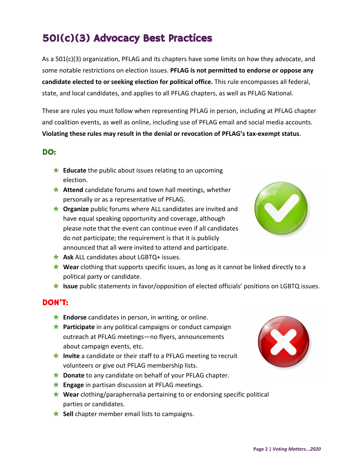## 501(c)(3) Advocacy Best Practices

As a 501(c)(3) organization, PFLAG and its chapters have some limits on how they advocate, and some notable restrictions on election issues. **PFLAG is not permitted to endorse or oppose any candidate elected to or seeking election for political office.** This rule encompasses all federal, state, and local candidates, and applies to all PFLAG chapters, as well as PFLAG National.

These are rules you must follow when representing PFLAG in person, including at PFLAG chapter and coalition events, as well as online, including use of PFLAG email and social media accounts. **Violating these rules may result in the denial or revocation of PFLAG's tax-exempt status**.

### DO:

- ★ **Educate** the public about issues relating to an upcoming election.
- **★ Attend** candidate forums and town hall meetings, whether personally or as a representative of PFLAG.
- ★ **Organize** public forums where ALL candidates are invited and have equal speaking opportunity and coverage, although please note that the event can continue even if all candidates do not participate; the requirement is that it is publicly announced that all were invited to attend and participate.
- ★ **Ask** ALL candidates about LGBTQ+ issues.
- ★ **Wear** clothing that supports specific issues, as long as it cannot be linked directly to a political party or candidate.
- ★ **Issue** public statements in favor/opposition of elected officials' positions on LGBTQ issues.

### DON'T:

- **★ Endorse** candidates in person, in writing, or online.
- ★ **Participate** in any political campaigns or conduct campaign outreach at PFLAG meetings—no flyers, announcements about campaign events, etc.
- ★ **Invite** a candidate or their staff to a PFLAG meeting to recruit volunteers or give out PFLAG membership lists.
- ★ **Donate** to any candidate on behalf of your PFLAG chapter.
- ★ **Engage** in partisan discussion at PFLAG meetings.
- ★ **Wear** clothing/paraphernalia pertaining to or endorsing specific political parties or candidates.
- **★ Sell** chapter member email lists to campaigns.



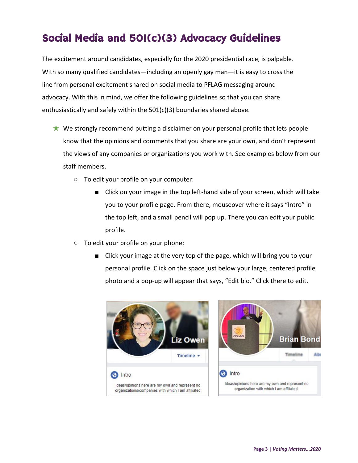## Social Media and 501(c)(3) Advocacy Guidelines

The excitement around candidates, especially for the 2020 presidential race, is palpable. With so many qualified candidates—including an openly gay man—it is easy to cross the line from personal excitement shared on social media to PFLAG messaging around advocacy. With this in mind, we offer the following guidelines so that you can share enthusiastically and safely within the 501(c)(3) boundaries shared above.

- ★ We strongly recommend putting a disclaimer on your personal profile that lets people know that the opinions and comments that you share are your own, and don't represent the views of any companies or organizations you work with. See examples below from our staff members.
	- To edit your profile on your computer:
		- Click on your image in the top left-hand side of your screen, which will take you to your profile page. From there, mouseover where it says "Intro" in the top left, and a small pencil will pop up. There you can edit your public profile.
	- To edit your profile on your phone:
		- Click your image at the very top of the page, which will bring you to your personal profile. Click on the space just below your large, centered profile photo and a pop-up will appear that says, "Edit bio." Click there to edit.

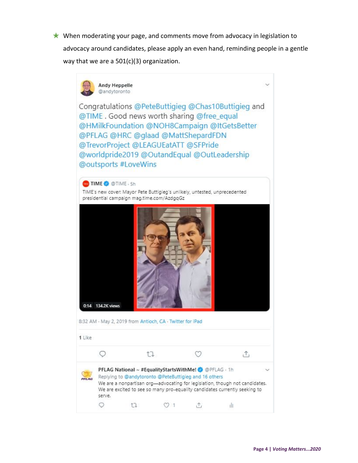★ When moderating your page, and comments move from advocacy in legislation to advocacy around candidates, please apply an even hand, reminding people in a gentle way that we are a 501(c)(3) organization.

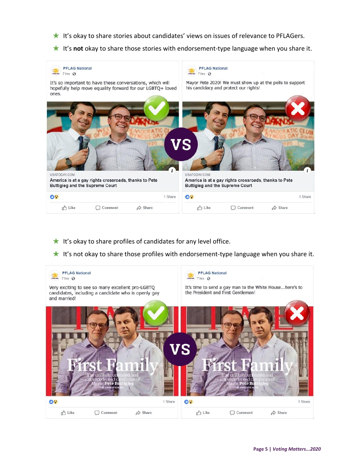- ★ It's okay to share stories about candidates' views on issues of relevance to PFLAGers.
- ★ It's **not** okay to share those stories with endorsement-type language when you share it.



- $\star$  It's okay to share profiles of candidates for any level office.
- ★ It's not okay to share those profiles with endorsement-type language when you share it.

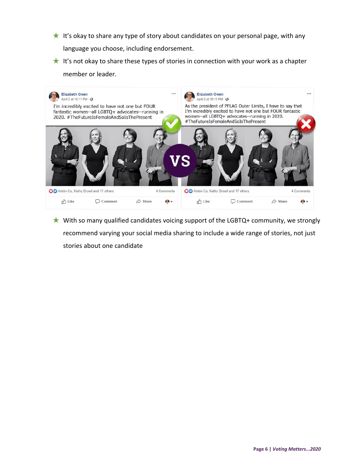- $\star$  It's okay to share any type of story about candidates on your personal page, with any language you choose, including endorsement.
- $\star$  It's not okay to share these types of stories in connection with your work as a chapter member or leader.



 $\star$  With so many qualified candidates voicing support of the LGBTQ+ community, we strongly recommend varying your social media sharing to include a wide range of stories, not just stories about one candidate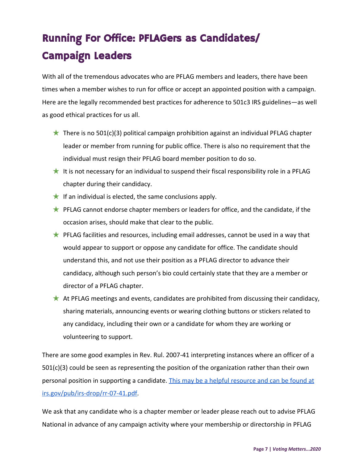# Running For Office: PFLAGers as Candidates/ Campaign Leaders

With all of the tremendous advocates who are PFLAG members and leaders, there have been times when a member wishes to run for office or accept an appointed position with a campaign. Here are the legally recommended best practices for adherence to 501c3 IRS guidelines—as well as good ethical practices for us all.

- $\star$  There is no 501(c)(3) political campaign prohibition against an individual PFLAG chapter leader or member from running for public office. There is also no requirement that the individual must resign their PFLAG board member position to do so.
- It is not necessary for an individual to suspend their fiscal responsibility role in a PFLAG chapter during their candidacy.
- $\star$  If an individual is elected, the same conclusions apply.
- ★ PFLAG cannot endorse chapter members or leaders for office, and the candidate, if the occasion arises, should make that clear to the public.
- ★ PFLAG facilities and resources, including email addresses, cannot be used in a way that would appear to support or oppose any candidate for office. The candidate should understand this, and not use their position as a PFLAG director to advance their candidacy, although such person's bio could certainly state that they are a member or director of a PFLAG chapter.
- ★ At PFLAG meetings and events, candidates are prohibited from discussing their candidacy, sharing materials, announcing events or wearing clothing buttons or stickers related to any candidacy, including their own or a candidate for whom they are working or volunteering to support.

There are some good examples in Rev. Rul. 2007-41 interpreting instances where an officer of a 501(c)(3) could be seen as representing the position of the organization rather than their own personal position in supporting a candidate. [This may be a helpful resource and can be found at](https://www.irs.gov/pub/irs-drop/rr-07-41.pdf) [irs.gov/pub/irs-drop/rr-07-41.pdf.](https://www.irs.gov/pub/irs-drop/rr-07-41.pdf)

We ask that any candidate who is a chapter member or leader please reach out to advise PFLAG National in advance of any campaign activity where your membership or leadership in PFLAG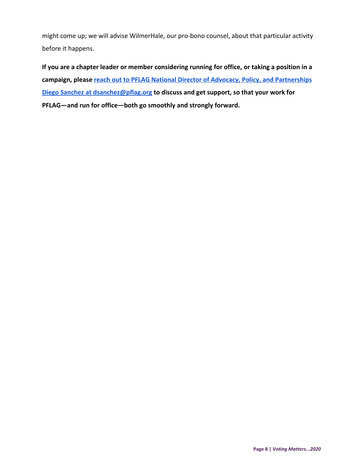might come up; we will advise WilmerHale, our pro-bono counsel, about that particular activity before it happens.

**If you are a chapter leader or member considering running for office, or taking a position in a campaign, please [reach out to PFLAG National Director of Advocacy, Policy, and Partnerships](mailto:dsanchez@pflag.org) [Diego Sanchez at dsanchez@pflag.org](mailto:dsanchez@pflag.org) to discuss and get support, so that your work for PFLAG—and run for office—both go smoothly and strongly forward.**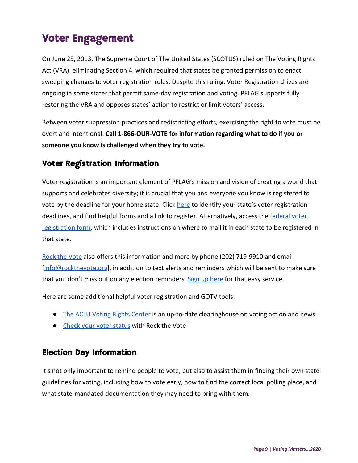## Voter Engagement

On June 25, 2013, The Supreme Court of The United States (SCOTUS) ruled on The Voting Rights Act (VRA), eliminating Section 4, which required that states be granted permission to enact sweeping changes to voter registration rules. Despite this ruling, Voter Registration drives are ongoing in some states that permit same-day registration and voting. PFLAG supports fully restoring the VRA and opposes states' action to restrict or limit voters' access.

Between voter suppression practices and redistricting efforts, exercising the right to vote must be overt and intentional. **Call 1-866-OUR-VOTE for information regarding what to do if you or someone you know is challenged when they try to vote.**

### Voter Registration Information

Voter registration is an important element of PFLAG's mission and vision of creating a world that supports and celebrates diversity; it is crucial that you and everyone you know is registered to vote by the deadline for your home state. Click [here](http://www.rockthevote.com/get-informed/elections/voter-registration-deadlines.html) to identify your state's voter registration deadlines, and find helpful forms and a link to register. Alternatively, access the [federal voter](https://www.eac.gov/voters/national-mail-voter-registration-form/) [registration form](https://www.eac.gov/voters/national-mail-voter-registration-form/), which includes instructions on where to mail it in each state to be registered in that state.

[Rock the Vote](http://www.rockthevote.com/get-informed/elections/) also offers this information and more by phone (202) 719-9910 and email [[info@rockthevote.org\]](mailto:info@rockthevote.org), in addition to text alerts and reminders which will be sent to make sure that you don't miss out on any election reminders. [Sign up here](http://www.rockthevote.com/election-center/sign-up-for-election.html) for that easy service.

Here are some additional helpful voter registration and GOTV tools:

- [The ACLU Voting Rights Center](https://www.aclu.org/issues/voting-rights) is an up-to-date clearinghouse on voting action and news.
- [Check your voter status](https://www.rockthevote.org/voting-information/am-i-registered-to-vote/) with Rock the Vote

### Election Day Information

It's not only important to remind people to vote, but also to assist them in finding their own state guidelines for voting, including how to vote early, how to find the correct local polling place, and what state-mandated documentation they may need to bring with them.